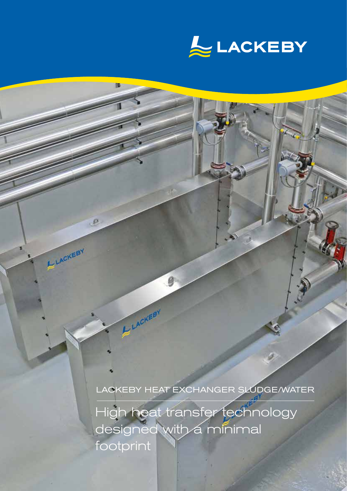

LACKEBY HEAT EXCHANGER SLUDGE/WATER

High heat transfer technology designed with a minimal footprint

9

LACKEBY

 $R$ 

ELACKEBY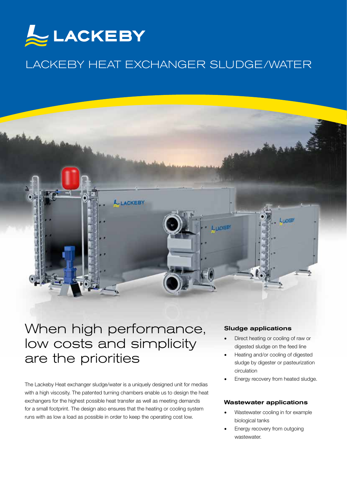

# LACKEBY HEAT EXCHANGER SLUDGE/WATER



# When high performance, low costs and simplicity are the priorities

The Lackeby Heat exchanger sludge/water is a uniquely designed unit for medias with a high viscosity. The patented turning chambers enable us to design the heat exchangers for the highest possible heat transfer as well as meeting demands for a small footprint. The design also ensures that the heating or cooling system runs with as low a load as possible in order to keep the operating cost low.

#### Sludge applications

- Direct heating or cooling of raw or digested sludge on the feed line
- Heating and/or cooling of digested sludge by digester or pasteurization circulation
- Energy recovery from heated sludge.

#### Wastewater applications

- Wastewater cooling in for example biological tanks
- Energy recovery from outgoing wastewater.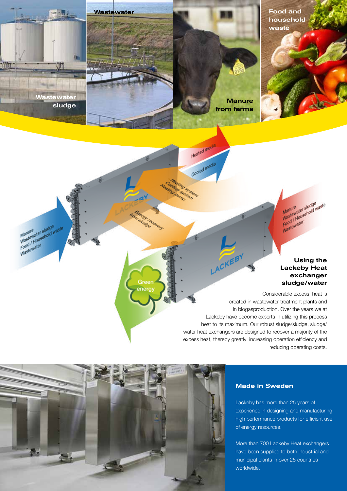Wastewater **Food and** household waste

> Manure<br>Wastewater sludge<br>Wastewater Household w Manure sludge<br>Wastewater sludge<br>Food / Household waste Wastewater<br>Food / House

# Using the Lackeby Heat exchanger sludge/water

Considerable excess heat is created in wastewater treatment plants and in biogasproduction. Over the years we at Lackeby have become experts in utilizing this process heat to its maximum. Our robust sludge/sludge, sludge/ water heat exchangers are designed to recover a majority of the excess heat, thereby greatly increasing operation efficiency and reducing operating costs.

LACKEBY

**Manure** from farms

Heated media

Cooled media

Mino system ing system

the cump

**Markedrey** om sludge

> Gree energy



Wastewater sludge

Manure<br>Wastewater sludge<br>wastewater<br>wastewater

Wastewater<br>Food / House<br>Wastewater

#### Made in Sweden

Lackeby has more than 25 years of experience in designing and manufacturing high performance products for efficient use of energy resources.

More than 700 Lackeby Heat exchangers have been supplied to both industrial and municipal plants in over 25 countries worldwide.